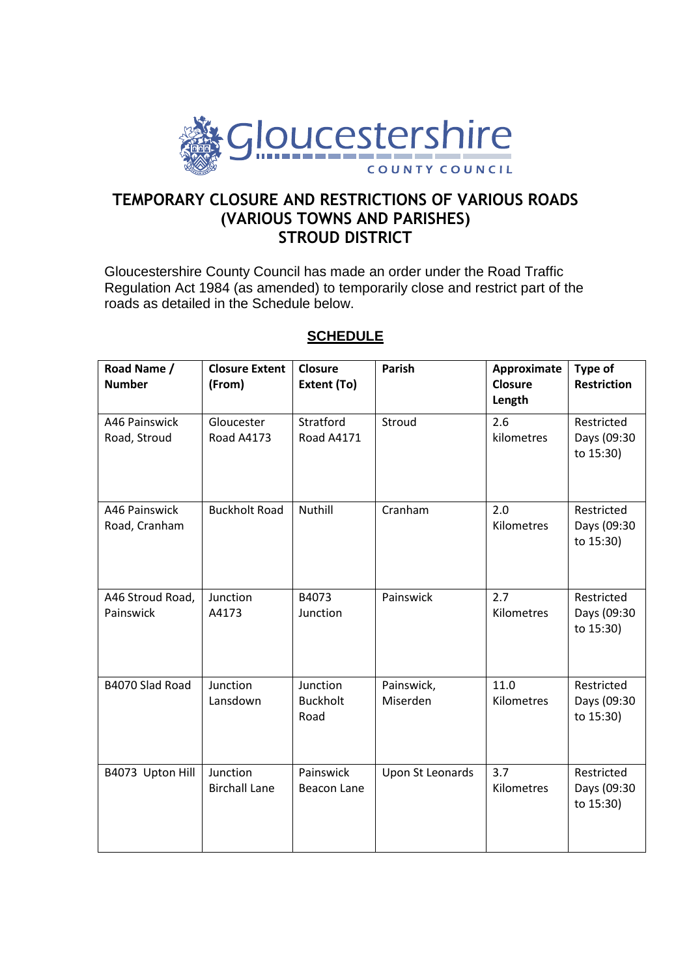

## **TEMPORARY CLOSURE AND RESTRICTIONS OF VARIOUS ROADS (VARIOUS TOWNS AND PARISHES) STROUD DISTRICT**

Gloucestershire County Council has made an order under the Road Traffic Regulation Act 1984 (as amended) to temporarily close and restrict part of the roads as detailed in the Schedule below.

| Road Name /<br><b>Number</b>   | <b>Closure Extent</b><br>(From)  | Closure<br>Extent (To)              | <b>Parish</b>          | Approximate<br><b>Closure</b><br>Length | Type of<br><b>Restriction</b>          |
|--------------------------------|----------------------------------|-------------------------------------|------------------------|-----------------------------------------|----------------------------------------|
| A46 Painswick<br>Road, Stroud  | Gloucester<br><b>Road A4173</b>  | Stratford<br><b>Road A4171</b>      | Stroud                 | 2.6<br>kilometres                       | Restricted<br>Days (09:30<br>to 15:30) |
| A46 Painswick<br>Road, Cranham | <b>Buckholt Road</b>             | Nuthill                             | Cranham                | 2.0<br>Kilometres                       | Restricted<br>Days (09:30<br>to 15:30) |
| A46 Stroud Road,<br>Painswick  | Junction<br>A4173                | B4073<br>Junction                   | Painswick              | 2.7<br>Kilometres                       | Restricted<br>Days (09:30<br>to 15:30) |
| B4070 Slad Road                | Junction<br>Lansdown             | Junction<br><b>Buckholt</b><br>Road | Painswick,<br>Miserden | 11.0<br>Kilometres                      | Restricted<br>Days (09:30<br>to 15:30) |
| B4073 Upton Hill               | Junction<br><b>Birchall Lane</b> | Painswick<br>Beacon Lane            | Upon St Leonards       | 3.7<br>Kilometres                       | Restricted<br>Days (09:30<br>to 15:30) |

## **SCHEDULE**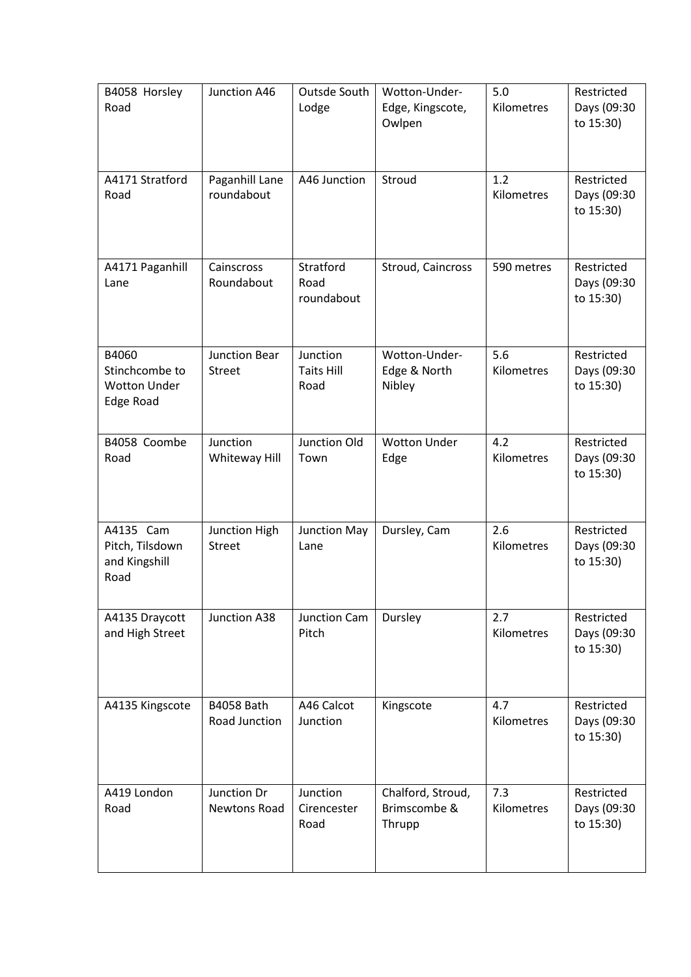| B4058 Horsley<br>Road                                              | Junction A46                          | Outsde South<br>Lodge                 | Wotton-Under-<br>Edge, Kingscote,<br>Owlpen | 5.0<br>Kilometres | Restricted<br>Days (09:30<br>to 15:30) |
|--------------------------------------------------------------------|---------------------------------------|---------------------------------------|---------------------------------------------|-------------------|----------------------------------------|
| A4171 Stratford<br>Road                                            | Paganhill Lane<br>roundabout          | A46 Junction                          | Stroud                                      | 1.2<br>Kilometres | Restricted<br>Days (09:30<br>to 15:30) |
| A4171 Paganhill<br>Lane                                            | Cainscross<br>Roundabout              | Stratford<br>Road<br>roundabout       | Stroud, Caincross                           | 590 metres        | Restricted<br>Days (09:30<br>to 15:30) |
| B4060<br>Stinchcombe to<br><b>Wotton Under</b><br><b>Edge Road</b> | <b>Junction Bear</b><br><b>Street</b> | Junction<br><b>Taits Hill</b><br>Road | Wotton-Under-<br>Edge & North<br>Nibley     | 5.6<br>Kilometres | Restricted<br>Days (09:30<br>to 15:30) |
| B4058 Coombe<br>Road                                               | Junction<br>Whiteway Hill             | Junction Old<br>Town                  | <b>Wotton Under</b><br>Edge                 | 4.2<br>Kilometres | Restricted<br>Days (09:30<br>to 15:30) |
| A4135 Cam<br>Pitch, Tilsdown<br>and Kingshill<br>Road              | Junction High<br><b>Street</b>        | Junction May<br>Lane                  | Dursley, Cam                                | 2.6<br>Kilometres | Restricted<br>Days (09:30<br>to 15:30) |
| A4135 Draycott<br>and High Street                                  | Junction A38                          | Junction Cam<br>Pitch                 | Dursley                                     | 2.7<br>Kilometres | Restricted<br>Days (09:30<br>to 15:30) |
| A4135 Kingscote                                                    | <b>B4058 Bath</b><br>Road Junction    | A46 Calcot<br>Junction                | Kingscote                                   | 4.7<br>Kilometres | Restricted<br>Days (09:30<br>to 15:30) |
| A419 London<br>Road                                                | Junction Dr<br><b>Newtons Road</b>    | Junction<br>Cirencester<br>Road       | Chalford, Stroud,<br>Brimscombe &<br>Thrupp | 7.3<br>Kilometres | Restricted<br>Days (09:30<br>to 15:30) |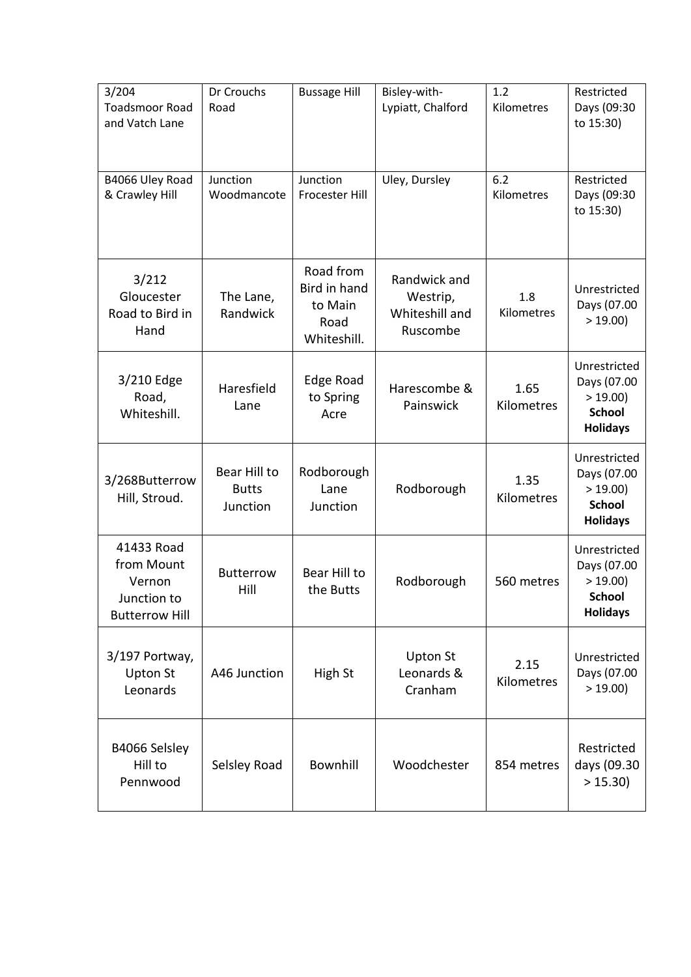| 3/204<br><b>Toadsmoor Road</b><br>and Vatch Lane                           | Dr Crouchs<br>Road                       | <b>Bussage Hill</b>                                         | Bisley-with-<br>Lypiatt, Chalford                      | 1.2<br>Kilometres  | Restricted<br>Days (09:30<br>to 15:30)                                    |
|----------------------------------------------------------------------------|------------------------------------------|-------------------------------------------------------------|--------------------------------------------------------|--------------------|---------------------------------------------------------------------------|
| B4066 Uley Road<br>& Crawley Hill                                          | Junction<br>Woodmancote                  | Junction<br>Frocester Hill                                  | Uley, Dursley                                          | 6.2<br>Kilometres  | Restricted<br>Days (09:30<br>to 15:30)                                    |
| 3/212<br>Gloucester<br>Road to Bird in<br>Hand                             | The Lane,<br>Randwick                    | Road from<br>Bird in hand<br>to Main<br>Road<br>Whiteshill. | Randwick and<br>Westrip,<br>Whiteshill and<br>Ruscombe | 1.8<br>Kilometres  | Unrestricted<br>Days (07.00<br>> 19.00                                    |
| 3/210 Edge<br>Road,<br>Whiteshill.                                         | Haresfield<br>Lane                       | Edge Road<br>to Spring<br>Acre                              | Harescombe &<br>Painswick                              | 1.65<br>Kilometres | Unrestricted<br>Days (07.00<br>>19.00<br><b>School</b><br><b>Holidays</b> |
| 3/268Butterrow<br>Hill, Stroud.                                            | Bear Hill to<br><b>Butts</b><br>Junction | Rodborough<br>Lane<br>Junction                              | Rodborough                                             | 1.35<br>Kilometres | Unrestricted<br>Days (07.00<br>>19.00<br><b>School</b><br><b>Holidays</b> |
| 41433 Road<br>from Mount<br>Vernon<br>Junction to<br><b>Butterrow Hill</b> | <b>Butterrow</b><br>Hill                 | Bear Hill to<br>the Butts                                   | Rodborough                                             | 560 metres         | Unrestricted<br>Days (07.00<br>>19.00<br><b>School</b><br><b>Holidays</b> |
| 3/197 Portway,<br><b>Upton St</b><br>Leonards                              | A46 Junction                             | High St                                                     | <b>Upton St</b><br>Leonards &<br>Cranham               | 2.15<br>Kilometres | Unrestricted<br>Days (07.00<br>> 19.00                                    |
| B4066 Selsley<br>Hill to<br>Pennwood                                       | Selsley Road                             | Bownhill                                                    | Woodchester                                            | 854 metres         | Restricted<br>days (09.30<br>> 15.30                                      |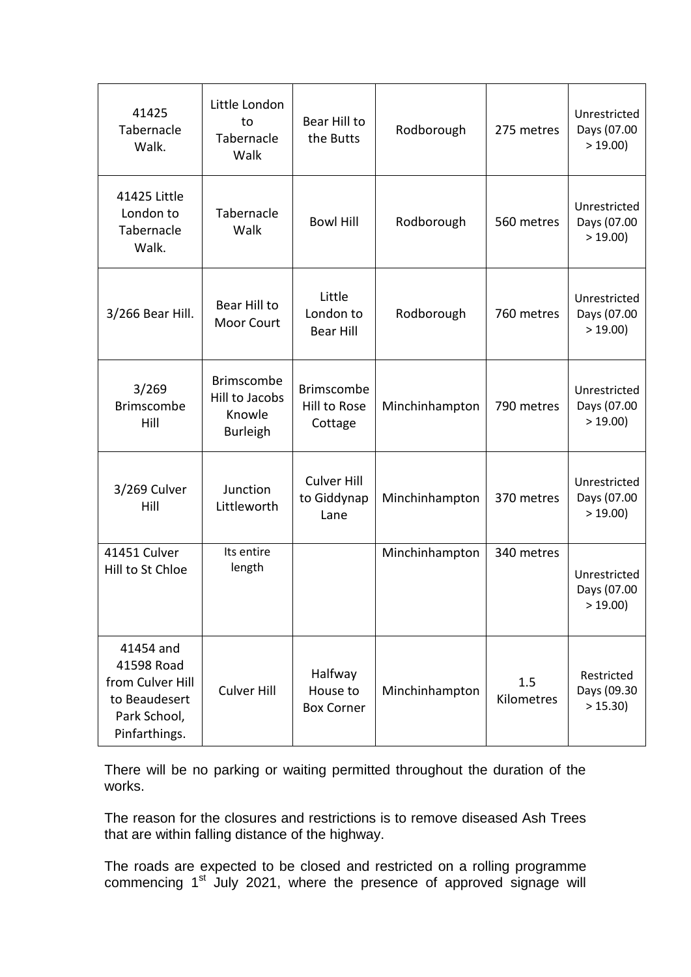| 41425<br>Tabernacle<br>Walk.                                                                  | Little London<br>to<br>Tabernacle<br>Walk                        | Bear Hill to<br>the Butts                    | Rodborough     | 275 metres        | Unrestricted<br>Days (07.00<br>> 19.00 |
|-----------------------------------------------------------------------------------------------|------------------------------------------------------------------|----------------------------------------------|----------------|-------------------|----------------------------------------|
| 41425 Little<br>London to<br>Tabernacle<br>Walk.                                              | Tabernacle<br>Walk                                               | <b>Bowl Hill</b>                             | Rodborough     | 560 metres        | Unrestricted<br>Days (07.00<br>> 19.00 |
| 3/266 Bear Hill.                                                                              | Bear Hill to<br>Moor Court                                       | Little<br>London to<br><b>Bear Hill</b>      | Rodborough     | 760 metres        | Unrestricted<br>Days (07.00<br>> 19.00 |
| 3/269<br><b>Brimscombe</b><br>Hill                                                            | <b>Brimscombe</b><br>Hill to Jacobs<br>Knowle<br><b>Burleigh</b> | <b>Brimscombe</b><br>Hill to Rose<br>Cottage | Minchinhampton | 790 metres        | Unrestricted<br>Days (07.00<br>> 19.00 |
| 3/269 Culver<br>Hill                                                                          | Junction<br>Littleworth                                          | <b>Culver Hill</b><br>to Giddynap<br>Lane    | Minchinhampton | 370 metres        | Unrestricted<br>Days (07.00<br>> 19.00 |
| 41451 Culver<br>Hill to St Chloe                                                              | Its entire<br>length                                             |                                              | Minchinhampton | 340 metres        | Unrestricted<br>Days (07.00<br>> 19.00 |
| 41454 and<br>41598 Road<br>from Culver Hill<br>to Beaudesert<br>Park School,<br>Pinfarthings. | <b>Culver Hill</b>                                               | Halfway<br>House to<br><b>Box Corner</b>     | Minchinhampton | 1.5<br>Kilometres | Restricted<br>Days (09.30<br>> 15.30   |

There will be no parking or waiting permitted throughout the duration of the works.

The reason for the closures and restrictions is to remove diseased Ash Trees that are within falling distance of the highway.

The roads are expected to be closed and restricted on a rolling programme commencing 1<sup>st</sup> July 2021, where the presence of approved signage will